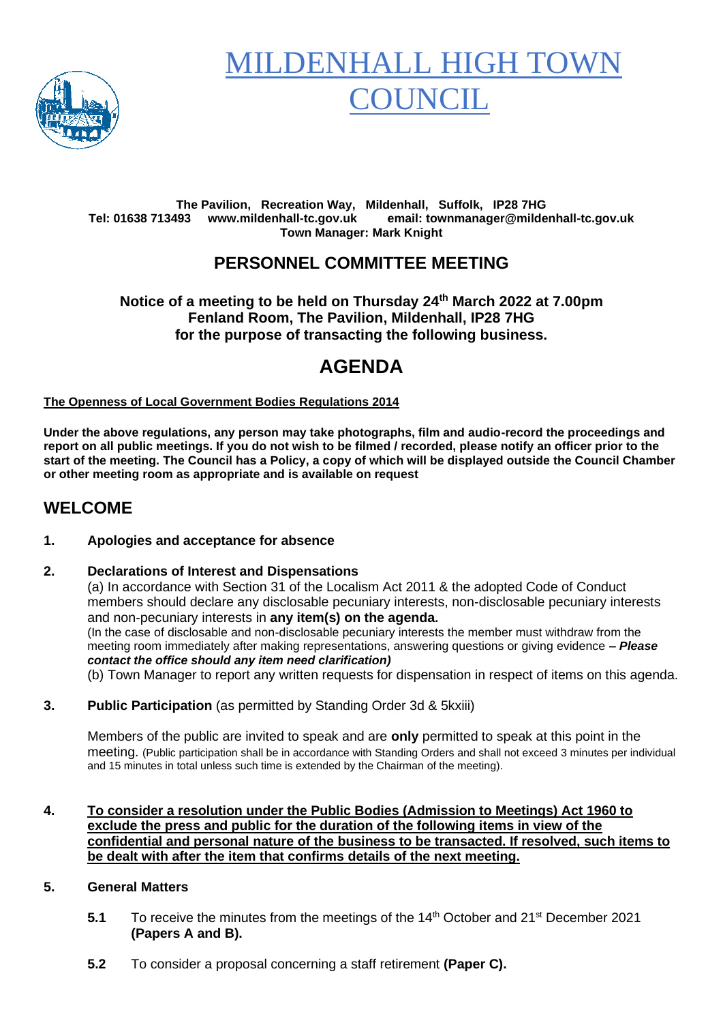

# **MILDENHALL HIGH TO** 'OUNCIL

#### **The Pavilion, Recreation Way, Mildenhall, Suffolk, IP28 7HG Tel: 01638 713493 www.mildenhall-tc.gov.uk email: townmanager@mildenhall-tc.gov.uk Town Manager: Mark Knight**

## **PERSONNEL COMMITTEE MEETING**

#### **Notice of a meeting to be held on Thursday 24 th March 2022 at 7.00pm Fenland Room, The Pavilion, Mildenhall, IP28 7HG for the purpose of transacting the following business.**

# **AGENDA**

#### **The Openness of Local Government Bodies Regulations 2014**

**Under the above regulations, any person may take photographs, film and audio-record the proceedings and report on all public meetings. If you do not wish to be filmed / recorded, please notify an officer prior to the start of the meeting. The Council has a Policy, a copy of which will be displayed outside the Council Chamber or other meeting room as appropriate and is available on request**

### **WELCOME**

#### **1. Apologies and acceptance for absence**

#### **2. Declarations of Interest and Dispensations**

(a) In accordance with Section 31 of the Localism Act 2011 & the adopted Code of Conduct members should declare any disclosable pecuniary interests, non-disclosable pecuniary interests and non-pecuniary interests in **any item(s) on the agenda.** (In the case of disclosable and non-disclosable pecuniary interests the member must withdraw from the meeting room immediately after making representations, answering questions or giving evidence **–** *Please contact the office should any item need clarification)* (b) Town Manager to report any written requests for dispensation in respect of items on this agenda.

**3. Public Participation** (as permitted by Standing Order 3d & 5kxiii)

Members of the public are invited to speak and are **only** permitted to speak at this point in the meeting. (Public participation shall be in accordance with Standing Orders and shall not exceed 3 minutes per individual and 15 minutes in total unless such time is extended by the Chairman of the meeting).

#### **4. To consider a resolution under the Public Bodies (Admission to Meetings) Act 1960 to exclude the press and public for the duration of the following items in view of the confidential and personal nature of the business to be transacted. If resolved, such items to be dealt with after the item that confirms details of the next meeting.**

#### **5. General Matters**

- **5.1** To receive the minutes from the meetings of the 14<sup>th</sup> October and 21<sup>st</sup> December 2021 **(Papers A and B).**
- **5.2** To consider a proposal concerning a staff retirement **(Paper C).**